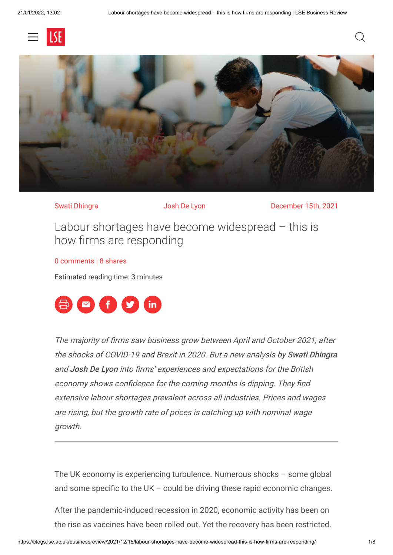



Swati Dhingra **Swati Dhingra** Josh De Lyon December 15th, 2021

Labour shortages have become widespread – this is how firms are responding

#### [0 comments](#page-4-0) | 8 shares

Estimated reading time: 3 minutes



The majority of firms saw business grow between April and October 2021, after the shocks of COVID-19 and Brexit in 2020. But a new analysis by Swati Dhingra and Josh De Lyon into firms' experiences and expectations for the British economy shows confidence for the coming months is dipping. They find extensive labour shortages prevalent across all industries. Prices and wages are rising, but the growth rate of prices is catching up with nominal wage growth.

The UK economy is experiencing turbulence. Numerous shocks – some global and some specific to the UK – could be driving these rapid economic changes.

After the pandemic-induced recession in 2020, economic activity has been on the rise as vaccines have been rolled out. Yet the recovery has been restricted.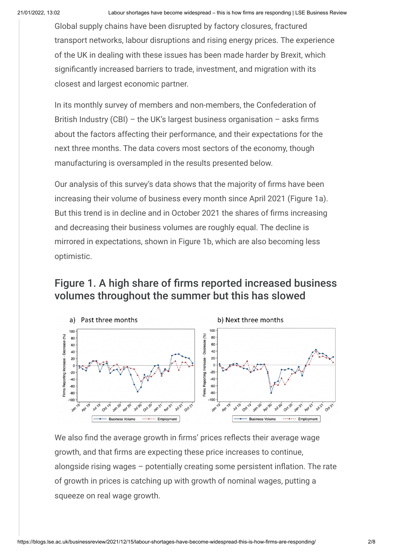Global supply chains have been disrupted by factory closures, fractured transport networks, labour disruptions and rising energy prices. The experience of the UK in dealing with these issues has been made harder by Brexit, which significantly increased barriers to trade, investment, and migration with its closest and largest economic partner.

In its monthly survey of members and non-members, the Confederation of British Industry (CBI) – the UK's largest business organisation – asks firms about the factors affecting their performance, and their expectations for the next three months. The data covers most sectors of the economy, though manufacturing is oversampled in the results presented below.

Our analysis of this survey's data shows that the majority of firms have been increasing their volume of business every month since April 2021 (Figure 1a). But this trend is in decline and in October 2021 the shares of firms increasing and decreasing their business volumes are roughly equal. The decline is mirrored in expectations, shown in Figure 1b, which are also becoming less optimistic.

# Figure 1. A high share of firms reported increased business volumes throughout the summer but this has slowed



We also find the average growth in firms' prices reflects their average wage growth, and that firms are expecting these price increases to continue, alongside rising wages – potentially creating some persistent inflation. The rate of growth in prices is catching up with growth of nominal wages, putting a squeeze on real wage growth.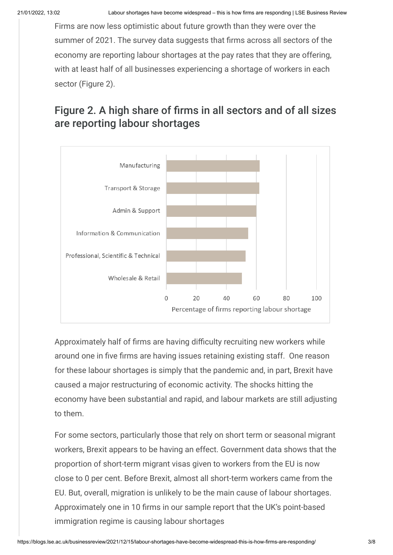Firms are now less optimistic about future growth than they were over the summer of 2021. The survey data suggests that firms across all sectors of the economy are reporting labour shortages at the pay rates that they are offering, with at least half of all businesses experiencing a shortage of workers in each sector (Figure 2).

# Figure 2. A high share of firms in all sectors and of all sizes are reporting labour shortages



Approximately half of firms are having difficulty recruiting new workers while around one in five firms are having issues retaining existing staff. One reason for these labour shortages is simply that the pandemic and, in part, Brexit have caused a major restructuring of economic activity. The shocks hitting the economy have been substantial and rapid, and labour markets are still adjusting to them.

For some sectors, particularly those that rely on short term or seasonal migrant workers, Brexit appears to be having an effect. Government data shows that the proportion of short-term migrant visas given to workers from the EU is now close to 0 per cent. Before Brexit, almost all short-term workers came from the EU. But, overall, migration is unlikely to be the main cause of labour shortages. Approximately one in 10 firms in our sample report that the UK's point-based immigration regime is causing labour shortages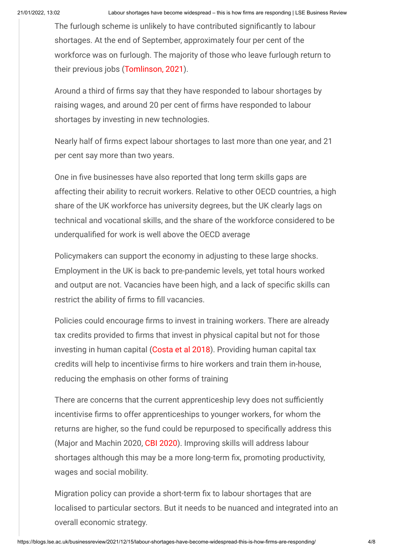The furlough scheme is unlikely to have contributed significantly to labour shortages. At the end of September, approximately four per cent of the workforce was on furlough. The majority of those who leave furlough return to their previous jobs ([Tomlinson, 2021](https://www.resolutionfoundation.org/publications/job-well-done/)).

Around a third of firms say that they have responded to labour shortages by raising wages, and around 20 per cent of firms have responded to labour shortages by investing in new technologies.

Nearly half of firms expect labour shortages to last more than one year, and 21 per cent say more than two years.

One in five businesses have also reported that long term skills gaps are affecting their ability to recruit workers. Relative to other OECD countries, a high share of the UK workforce has university degrees, but the UK clearly lags on technical and vocational skills, and the share of the workforce considered to be underqualified for work is well above the OECD average

Policymakers can support the economy in adjusting to these large shocks. Employment in the UK is back to pre-pandemic levels, yet total hours worked and output are not. Vacancies have been high, and a lack of specific skills can restrict the ability of firms to fill vacancies.

Policies could encourage firms to invest in training workers. There are already tax credits provided to firms that invest in physical capital but not for those investing in human capital ([Costa et al 2018\)](https://cep.lse.ac.uk/pubs/download/is01.pdf). Providing human capital tax credits will help to incentivise firms to hire workers and train them in-house, reducing the emphasis on other forms of training

There are concerns that the current apprenticeship levy does not sufficiently incentivise firms to offer apprenticeships to younger workers, for whom the returns are higher, so the fund could be repurposed to specifically address this (Major and Machin 2020, [CBI 2020](https://www.cbi.org.uk/articles/learning-for-life-funding-a-world-class-adult-education-system/)). Improving skills will address labour shortages although this may be a more long-term fix, promoting productivity, wages and social mobility.

Migration policy can provide a short-term fix to labour shortages that are localised to particular sectors. But it needs to be nuanced and integrated into an overall economic strategy.